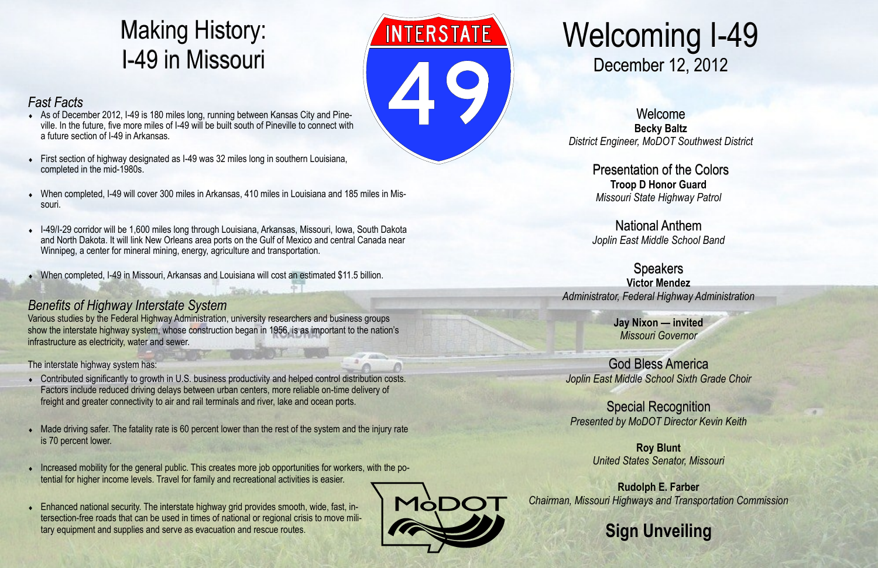## Welcoming I-49 December 12, 2012

Welcome **Becky Baltz** *District Engineer, MoDOT Southwest District* 

> Presentation of the Colors **Troop D Honor Guard** *Missouri State Highway Patrol*

National Anthem *Joplin East Middle School Band*

Speakers **Victor Mendez** *Administrator, Federal Highway Administration* 

> **Jay Nixon — invited** *Missouri Governor*

God Bless America *Joplin East Middle School Sixth Grade Choir*

Special Recognition *Presented by MoDOT Director Kevin Keith*

> **Roy Blunt** *United States Senator, Missouri*

**Rudolph E. Farber** *Chairman, Missouri Highways and Transportation Commission* 



### **Sign Unveiling**

## Making History: I-49 in Missouri

#### *Fast Facts*

- As of December 2012, I-49 is 180 miles long, running between Kansas City and Pineville. In the future, five more miles of I-49 will be built south of Pineville to connect with a future section of I-49 in Arkansas.
- First section of highway designated as I-49 was 32 miles long in southern Louisiana, completed in the mid-1980s.
- When completed, I-49 will cover 300 miles in Arkansas, 410 miles in Louisiana and 185 miles in Missouri.
- I-49/I-29 corridor will be 1,600 miles long through Louisiana, Arkansas, Missouri, Iowa, South Dakota and North Dakota. It will link New Orleans area ports on the Gulf of Mexico and central Canada near Winnipeg, a center for mineral mining, energy, agriculture and transportation.
- When completed, I-49 in Missouri, Arkansas and Louisiana will cost an estimated \$11.5 billion.

- Contributed significantly to growth in U.S. business productivity and helped control distribution costs. Factors include reduced driving delays between urban centers, more reliable on-time delivery of freight and greater connectivity to air and rail terminals and river, lake and ocean ports.
- Made driving safer. The fatality rate is 60 percent lower than the rest of the system and the injury rate is 70 percent lower.
- Increased mobility for the general public. This creates more job opportunities for workers, with the potential for higher income levels. Travel for family and recreational activities is easier.
- Enhanced national security. The interstate highway grid provides smooth, wide, fast, intersection-free roads that can be used in times of national or regional crisis to move military equipment and supplies and serve as evacuation and rescue routes.



#### *Benefits of Highway Interstate System*

Various studies by the Federal Highway Administration, university researchers and business groups show the interstate highway system, whose construction began in 1956, is as important to the nation's infrastructure as electricity, water and sewer.

The interstate highway system has: